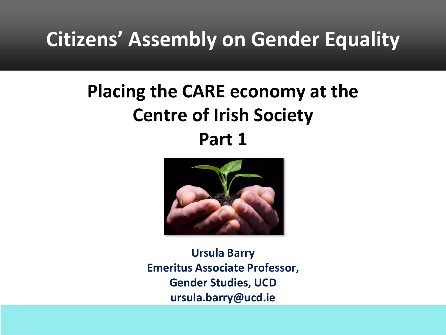## **Citizens' Assembly on Gender Equality**

### **Placing the CARE economy at the Centre of Irish Society Part 1**



**Ursula Barry Emeritus Associate Professor, Gender Studies, UCD ursula.barry@ucd.ie**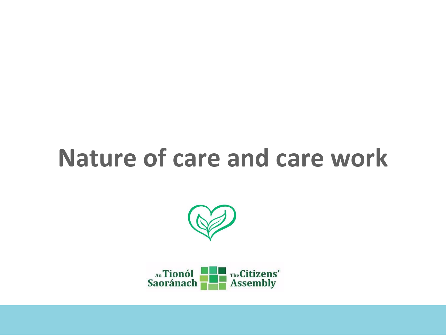# **Nature of care and care work**



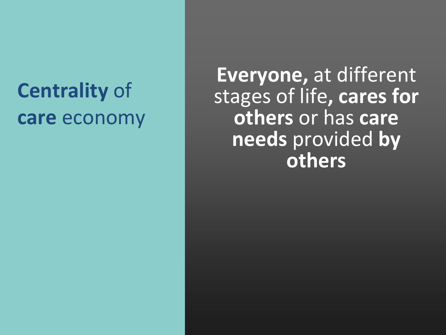## **Centrality** of **care** economy

**Everyone,** at different stages of life**, cares for others** or has **care needs** provided **by others**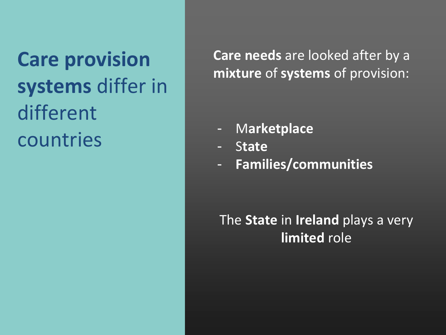**Care provision systems** differ in different countries

**Care needs** are looked after by a **mixture** of **systems** of provision:

- M**arketplace**
- S**tate**
- **Families/communities**

The **State** in **Ireland** plays a very **limited** role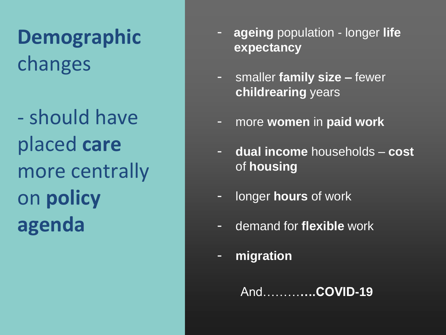**Demographic** changes

- should have placed **care**  more centrally on **policy agenda**

- **ageing** population longer **life expectancy**
- smaller **family size –** fewer **childrearing** years
- more **women** in **paid work**
- **dual income** households **cost** of **housing**
- longer **hours** of work
- demand for **flexible** work
- **migration**

And………**….COVID-19**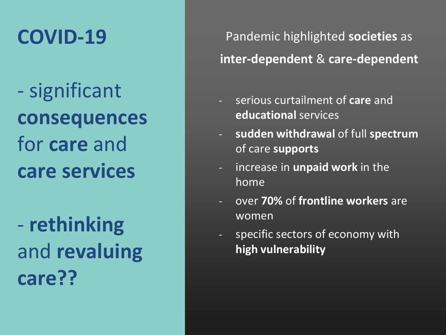## **COVID-19**

- significant **consequences** for **care** and **care services**

- **rethinking**  and **revaluing care??**

Pandemic highlighted **societies** as **inter-dependent** & **care-dependent** 

- serious curtailment of **care** and **educational** services
- **sudden withdrawal** of full **spectrum** of care **supports**
- increase in **unpaid work** in the home
- over **70%** of **frontline workers** are women
- specific sectors of economy with **high vulnerability**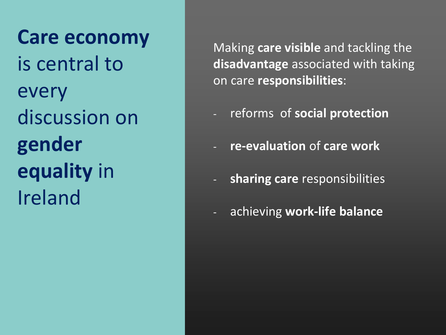**Care economy** is central to every discussion on **gender equality** in Ireland

Making **care visible** and tackling the **disadvantage** associated with taking on care **responsibilities**:

- reforms of **social protection**
- **re-evaluation** of **care work**
- **sharing care** responsibilities
- achieving **work-life balance**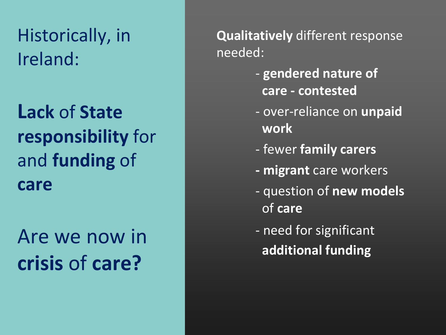### Historically, in Ireland:

## **Lack** of **State responsibility** for and **funding** of **care**

## Are we now in **crisis** of **care?**

**Qualitatively** different response needed:

- **gendered nature of care - contested**
- over-reliance on **unpaid work**
- fewer **family carers**
- **- migrant** care workers
- question of **new models**  of **care**
- need for significant **additional funding**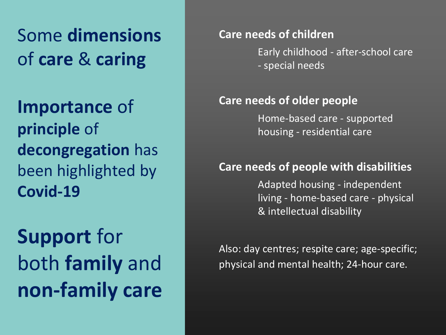Some **dimensions** of **care** & **caring**

**Importance** of **principle** of **decongregation** has been highlighted by **Covid-19**

**Support** for both **family** and **non-family care**

#### **Care needs of children**

Early childhood - after-school care - special needs

#### **Care needs of older people**

Home-based care - supported housing - residential care

### **Care needs of people with disabilities**

Adapted housing - independent living - home-based care - physical & intellectual disability

Also: day centres; respite care; age-specific; physical and mental health; 24-hour care.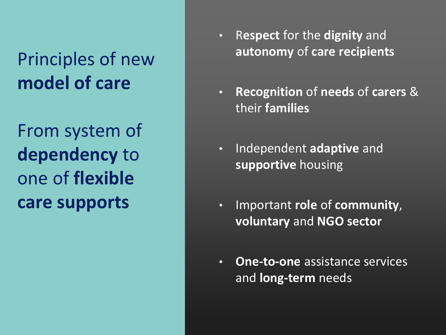## Principles of new **model of care**

From system of **dependency** to one of **flexible care supports**

- R**espect** for the **dignity** and **autonomy** of **care recipients**
- **Recognition** of **needs** of **carers** & their **families**
- Independent **adaptive** and **supportive** housing
- Important **role** of **community**, **voluntary** and **NGO sector**
- **One-to-one** assistance services and **long-term** needs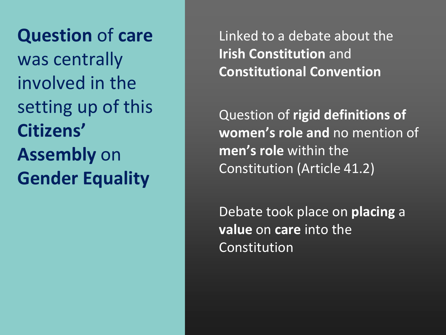**Question** of **care**  was centrally involved in the setting up of this **Citizens' Assembly** on **Gender Equality**

Linked to a debate about the **Irish Constitution** and **Constitutional Convention**

Question of **rigid definitions of women's role and** no mention of **men's role** within the Constitution (Article 41.2)

Debate took place on **placing** a **value** on **care** into the Constitution